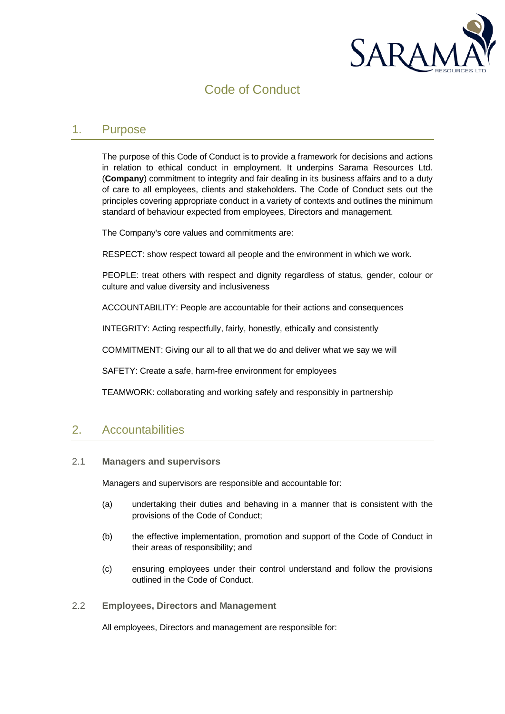

# Code of Conduct

#### 1. Purpose

The purpose of this Code of Conduct is to provide a framework for decisions and actions in relation to ethical conduct in employment. It underpins Sarama Resources Ltd. (**Company**) commitment to integrity and fair dealing in its business affairs and to a duty of care to all employees, clients and stakeholders. The Code of Conduct sets out the principles covering appropriate conduct in a variety of contexts and outlines the minimum standard of behaviour expected from employees, Directors and management.

The Company's core values and commitments are:

RESPECT: show respect toward all people and the environment in which we work.

PEOPLE: treat others with respect and dignity regardless of status, gender, colour or culture and value diversity and inclusiveness

ACCOUNTABILITY: People are accountable for their actions and consequences

INTEGRITY: Acting respectfully, fairly, honestly, ethically and consistently

COMMITMENT: Giving our all to all that we do and deliver what we say we will

SAFETY: Create a safe, harm-free environment for employees

TEAMWORK: collaborating and working safely and responsibly in partnership

### 2. Accountabilities

#### 2.1 **Managers and supervisors**

Managers and supervisors are responsible and accountable for:

- (a) undertaking their duties and behaving in a manner that is consistent with the provisions of the Code of Conduct;
- (b) the effective implementation, promotion and support of the Code of Conduct in their areas of responsibility; and
- (c) ensuring employees under their control understand and follow the provisions outlined in the Code of Conduct.

#### 2.2 **Employees, Directors and Management**

All employees, Directors and management are responsible for: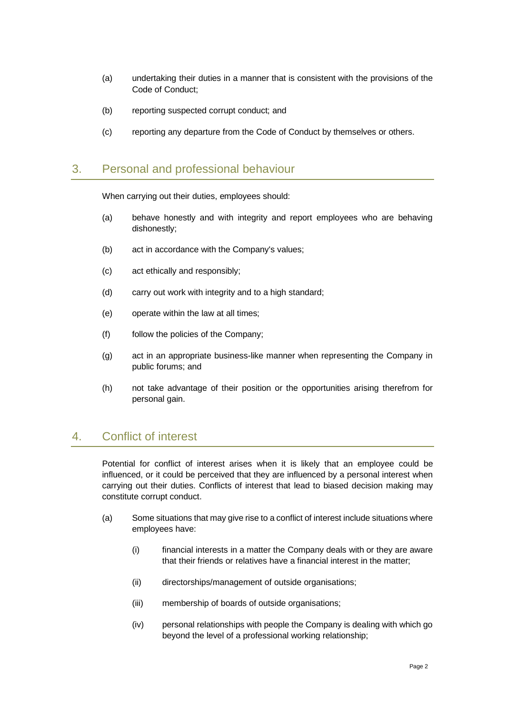- (a) undertaking their duties in a manner that is consistent with the provisions of the Code of Conduct;
- (b) reporting suspected corrupt conduct; and
- (c) reporting any departure from the Code of Conduct by themselves or others.

#### 3. Personal and professional behaviour

When carrying out their duties, employees should:

- (a) behave honestly and with integrity and report employees who are behaving dishonestly;
- (b) act in accordance with the Company's values;
- (c) act ethically and responsibly;
- (d) carry out work with integrity and to a high standard;
- (e) operate within the law at all times;
- (f) follow the policies of the Company;
- (g) act in an appropriate business-like manner when representing the Company in public forums; and
- (h) not take advantage of their position or the opportunities arising therefrom for personal gain.

### 4. Conflict of interest

Potential for conflict of interest arises when it is likely that an employee could be influenced, or it could be perceived that they are influenced by a personal interest when carrying out their duties. Conflicts of interest that lead to biased decision making may constitute corrupt conduct.

- (a) Some situations that may give rise to a conflict of interest include situations where employees have:
	- (i) financial interests in a matter the Company deals with or they are aware that their friends or relatives have a financial interest in the matter;
	- (ii) directorships/management of outside organisations;
	- (iii) membership of boards of outside organisations;
	- (iv) personal relationships with people the Company is dealing with which go beyond the level of a professional working relationship;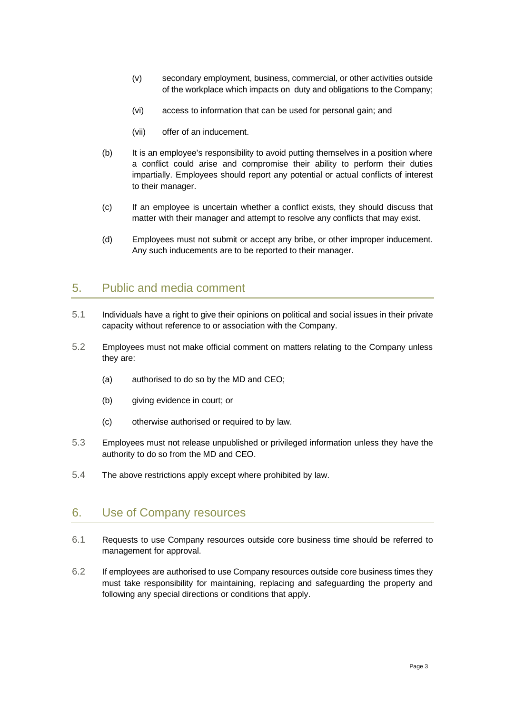- (v) secondary employment, business, commercial, or other activities outside of the workplace which impacts on duty and obligations to the Company;
- (vi) access to information that can be used for personal gain; and
- (vii) offer of an inducement.
- (b) It is an employee's responsibility to avoid putting themselves in a position where a conflict could arise and compromise their ability to perform their duties impartially. Employees should report any potential or actual conflicts of interest to their manager.
- (c) If an employee is uncertain whether a conflict exists, they should discuss that matter with their manager and attempt to resolve any conflicts that may exist.
- (d) Employees must not submit or accept any bribe, or other improper inducement. Any such inducements are to be reported to their manager.

### 5. Public and media comment

- 5.1 Individuals have a right to give their opinions on political and social issues in their private capacity without reference to or association with the Company.
- 5.2 Employees must not make official comment on matters relating to the Company unless they are:
	- (a) authorised to do so by the MD and CEO;
	- (b) giving evidence in court; or
	- (c) otherwise authorised or required to by law.
- 5.3 Employees must not release unpublished or privileged information unless they have the authority to do so from the MD and CEO.
- 5.4 The above restrictions apply except where prohibited by law.

### 6. Use of Company resources

- 6.1 Requests to use Company resources outside core business time should be referred to management for approval.
- 6.2 If employees are authorised to use Company resources outside core business times they must take responsibility for maintaining, replacing and safeguarding the property and following any special directions or conditions that apply.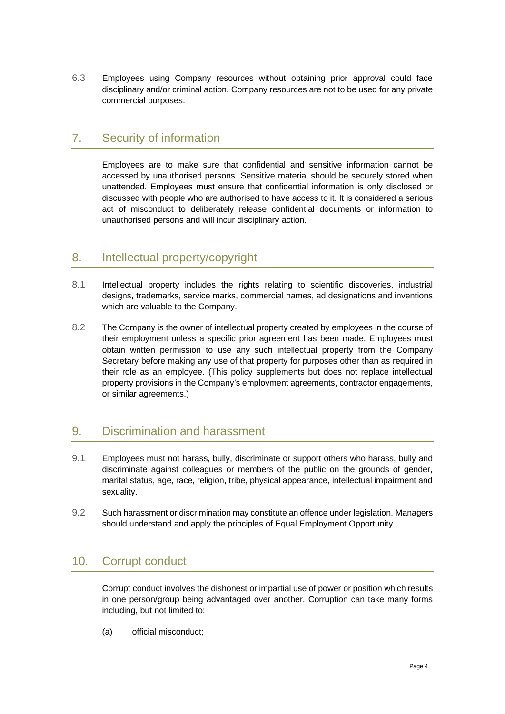6.3 Employees using Company resources without obtaining prior approval could face disciplinary and/or criminal action. Company resources are not to be used for any private commercial purposes.

### 7. Security of information

Employees are to make sure that confidential and sensitive information cannot be accessed by unauthorised persons. Sensitive material should be securely stored when unattended. Employees must ensure that confidential information is only disclosed or discussed with people who are authorised to have access to it. It is considered a serious act of misconduct to deliberately release confidential documents or information to unauthorised persons and will incur disciplinary action.

### 8. Intellectual property/copyright

- 8.1 Intellectual property includes the rights relating to scientific discoveries, industrial designs, trademarks, service marks, commercial names, ad designations and inventions which are valuable to the Company.
- 8.2 The Company is the owner of intellectual property created by employees in the course of their employment unless a specific prior agreement has been made. Employees must obtain written permission to use any such intellectual property from the Company Secretary before making any use of that property for purposes other than as required in their role as an employee. (This policy supplements but does not replace intellectual property provisions in the Company's employment agreements, contractor engagements, or similar agreements.)

## 9. Discrimination and harassment

- 9.1 Employees must not harass, bully, discriminate or support others who harass, bully and discriminate against colleagues or members of the public on the grounds of gender, marital status, age, race, religion, tribe, physical appearance, intellectual impairment and sexuality.
- 9.2 Such harassment or discrimination may constitute an offence under legislation. Managers should understand and apply the principles of Equal Employment Opportunity.

## 10. Corrupt conduct

Corrupt conduct involves the dishonest or impartial use of power or position which results in one person/group being advantaged over another. Corruption can take many forms including, but not limited to:

(a) official misconduct;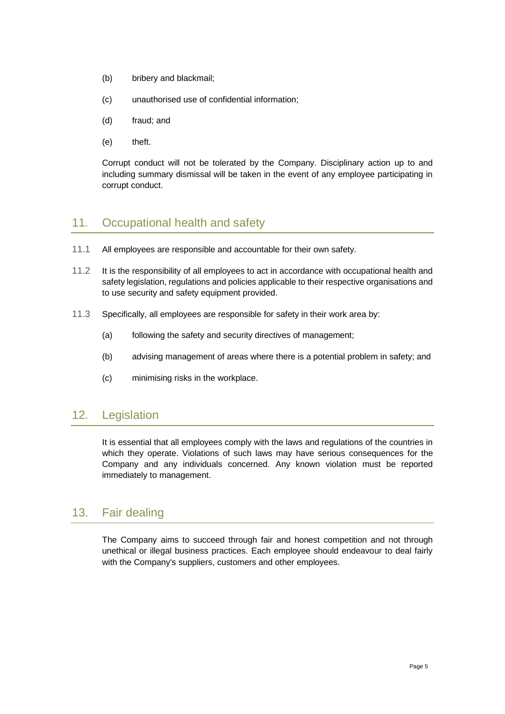- (b) bribery and blackmail;
- (c) unauthorised use of confidential information;
- (d) fraud; and
- (e) theft.

Corrupt conduct will not be tolerated by the Company. Disciplinary action up to and including summary dismissal will be taken in the event of any employee participating in corrupt conduct.

### 11. Occupational health and safety

- 11.1 All employees are responsible and accountable for their own safety.
- 11.2 It is the responsibility of all employees to act in accordance with occupational health and safety legislation, regulations and policies applicable to their respective organisations and to use security and safety equipment provided.
- 11.3 Specifically, all employees are responsible for safety in their work area by:
	- (a) following the safety and security directives of management;
	- (b) advising management of areas where there is a potential problem in safety; and
	- (c) minimising risks in the workplace.

### 12. Legislation

It is essential that all employees comply with the laws and regulations of the countries in which they operate. Violations of such laws may have serious consequences for the Company and any individuals concerned. Any known violation must be reported immediately to management.

### 13. Fair dealing

The Company aims to succeed through fair and honest competition and not through unethical or illegal business practices. Each employee should endeavour to deal fairly with the Company's suppliers, customers and other employees.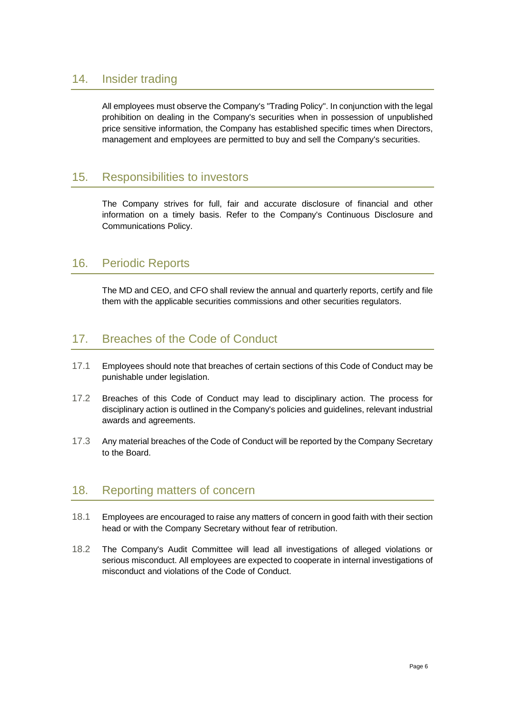#### 14. Insider trading

All employees must observe the Company's "Trading Policy". In conjunction with the legal prohibition on dealing in the Company's securities when in possession of unpublished price sensitive information, the Company has established specific times when Directors, management and employees are permitted to buy and sell the Company's securities.

#### 15. Responsibilities to investors

The Company strives for full, fair and accurate disclosure of financial and other information on a timely basis. Refer to the Company's Continuous Disclosure and Communications Policy.

### 16. Periodic Reports

The MD and CEO, and CFO shall review the annual and quarterly reports, certify and file them with the applicable securities commissions and other securities regulators.

### 17. Breaches of the Code of Conduct

- 17.1 Employees should note that breaches of certain sections of this Code of Conduct may be punishable under legislation.
- 17.2 Breaches of this Code of Conduct may lead to disciplinary action. The process for disciplinary action is outlined in the Company's policies and guidelines, relevant industrial awards and agreements.
- 17.3 Any material breaches of the Code of Conduct will be reported by the Company Secretary to the Board.

### 18. Reporting matters of concern

- 18.1 Employees are encouraged to raise any matters of concern in good faith with their section head or with the Company Secretary without fear of retribution.
- 18.2 The Company's Audit Committee will lead all investigations of alleged violations or serious misconduct. All employees are expected to cooperate in internal investigations of misconduct and violations of the Code of Conduct.